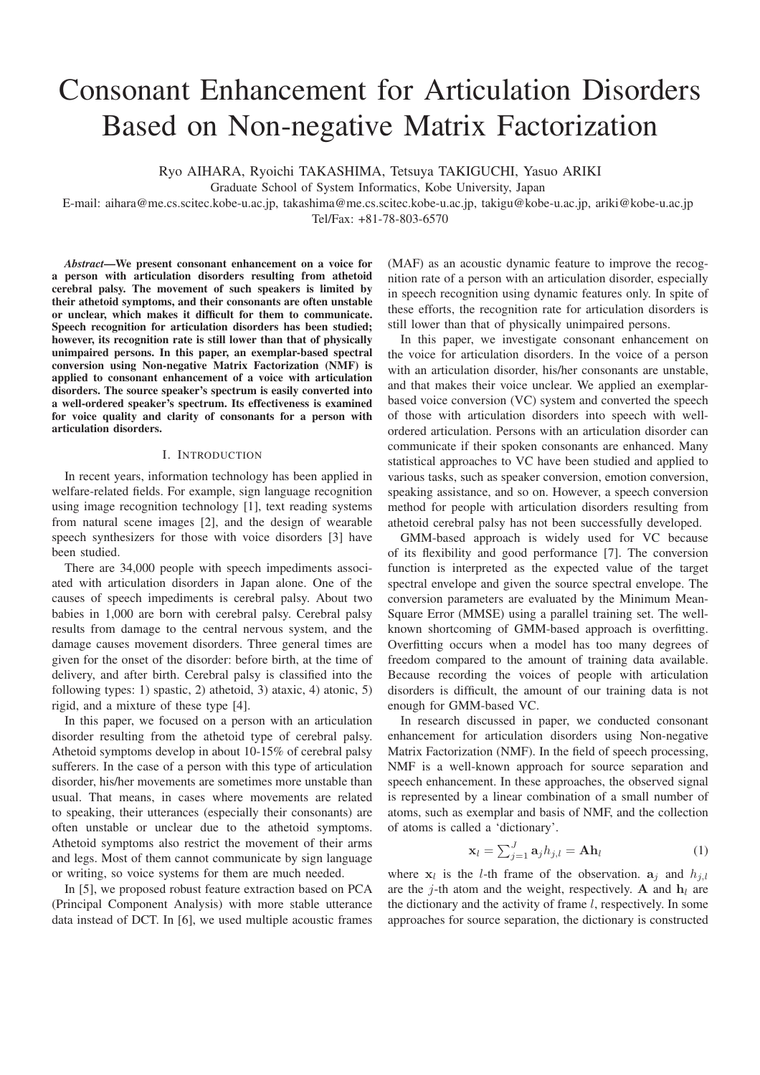# Consonant Enhancement for Articulation Disorders Based on Non-negative Matrix Factorization

Ryo AIHARA, Ryoichi TAKASHIMA, Tetsuya TAKIGUCHI, Yasuo ARIKI

Graduate School of System Informatics, Kobe University, Japan

E-mail: aihara@me.cs.scitec.kobe-u.ac.jp, takashima@me.cs.scitec.kobe-u.ac.jp, takigu@kobe-u.ac.jp, ariki@kobe-u.ac.jp Tel/Fax: +81-78-803-6570

*Abstract*—We present consonant enhancement on a voice for a person with articulation disorders resulting from athetoid cerebral palsy. The movement of such speakers is limited by their athetoid symptoms, and their consonants are often unstable or unclear, which makes it difficult for them to communicate. Speech recognition for articulation disorders has been studied; however, its recognition rate is still lower than that of physically unimpaired persons. In this paper, an exemplar-based spectral conversion using Non-negative Matrix Factorization (NMF) is applied to consonant enhancement of a voice with articulation disorders. The source speaker's spectrum is easily converted into a well-ordered speaker's spectrum. Its effectiveness is examined for voice quality and clarity of consonants for a person with articulation disorders.

# I. INTRODUCTION

In recent years, information technology has been applied in welfare-related fields. For example, sign language recognition using image recognition technology [1], text reading systems from natural scene images [2], and the design of wearable speech synthesizers for those with voice disorders [3] have been studied.

There are 34,000 people with speech impediments associated with articulation disorders in Japan alone. One of the causes of speech impediments is cerebral palsy. About two babies in 1,000 are born with cerebral palsy. Cerebral palsy results from damage to the central nervous system, and the damage causes movement disorders. Three general times are given for the onset of the disorder: before birth, at the time of delivery, and after birth. Cerebral palsy is classified into the following types: 1) spastic, 2) athetoid, 3) ataxic, 4) atonic, 5) rigid, and a mixture of these type [4].

In this paper, we focused on a person with an articulation disorder resulting from the athetoid type of cerebral palsy. Athetoid symptoms develop in about 10-15% of cerebral palsy sufferers. In the case of a person with this type of articulation disorder, his/her movements are sometimes more unstable than usual. That means, in cases where movements are related to speaking, their utterances (especially their consonants) are often unstable or unclear due to the athetoid symptoms. Athetoid symptoms also restrict the movement of their arms and legs. Most of them cannot communicate by sign language or writing, so voice systems for them are much needed.

In [5], we proposed robust feature extraction based on PCA (Principal Component Analysis) with more stable utterance data instead of DCT. In [6], we used multiple acoustic frames

(MAF) as an acoustic dynamic feature to improve the recognition rate of a person with an articulation disorder, especially in speech recognition using dynamic features only. In spite of these efforts, the recognition rate for articulation disorders is still lower than that of physically unimpaired persons.

In this paper, we investigate consonant enhancement on the voice for articulation disorders. In the voice of a person with an articulation disorder, his/her consonants are unstable, and that makes their voice unclear. We applied an exemplarbased voice conversion (VC) system and converted the speech of those with articulation disorders into speech with wellordered articulation. Persons with an articulation disorder can communicate if their spoken consonants are enhanced. Many statistical approaches to VC have been studied and applied to various tasks, such as speaker conversion, emotion conversion, speaking assistance, and so on. However, a speech conversion method for people with articulation disorders resulting from athetoid cerebral palsy has not been successfully developed.

GMM-based approach is widely used for VC because of its flexibility and good performance [7]. The conversion function is interpreted as the expected value of the target spectral envelope and given the source spectral envelope. The conversion parameters are evaluated by the Minimum Mean-Square Error (MMSE) using a parallel training set. The wellknown shortcoming of GMM-based approach is overfitting. Overfitting occurs when a model has too many degrees of freedom compared to the amount of training data available. Because recording the voices of people with articulation disorders is difficult, the amount of our training data is not enough for GMM-based VC.

In research discussed in paper, we conducted consonant enhancement for articulation disorders using Non-negative Matrix Factorization (NMF). In the field of speech processing, NMF is a well-known approach for source separation and speech enhancement. In these approaches, the observed signal is represented by a linear combination of a small number of atoms, such as exemplar and basis of NMF, and the collection of atoms is called a 'dictionary'.

$$
\mathbf{x}_{l} = \sum_{j=1}^{J} \mathbf{a}_{j} h_{j,l} = \mathbf{A} \mathbf{h}_{l}
$$
 (1)

where  $\mathbf{x}_i$  is the *l*-th frame of the observation.  $\mathbf{a}_i$  and  $h_{i,l}$ are the j-th atom and the weight, respectively. **A** and  $\mathbf{h}_l$  are the dictionary and the activity of frame  $l$ , respectively. In some approaches for source separation, the dictionary is constructed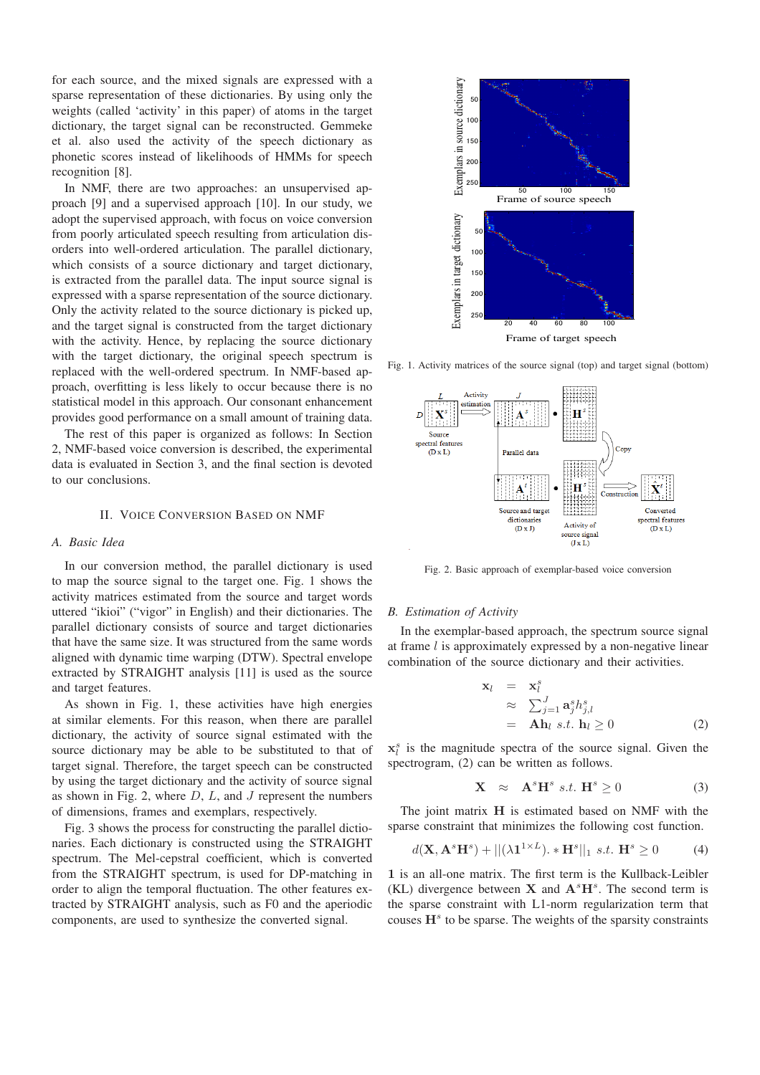for each source, and the mixed signals are expressed with a sparse representation of these dictionaries. By using only the weights (called 'activity' in this paper) of atoms in the target dictionary, the target signal can be reconstructed. Gemmeke et al. also used the activity of the speech dictionary as phonetic scores instead of likelihoods of HMMs for speech recognition [8].

In NMF, there are two approaches: an unsupervised approach [9] and a supervised approach [10]. In our study, we adopt the supervised approach, with focus on voice conversion from poorly articulated speech resulting from articulation disorders into well-ordered articulation. The parallel dictionary, which consists of a source dictionary and target dictionary, is extracted from the parallel data. The input source signal is expressed with a sparse representation of the source dictionary. Only the activity related to the source dictionary is picked up, and the target signal is constructed from the target dictionary with the activity. Hence, by replacing the source dictionary with the target dictionary, the original speech spectrum is replaced with the well-ordered spectrum. In NMF-based approach, overfitting is less likely to occur because there is no statistical model in this approach. Our consonant enhancement provides good performance on a small amount of training data.

The rest of this paper is organized as follows: In Section 2, NMF-based voice conversion is described, the experimental data is evaluated in Section 3, and the final section is devoted to our conclusions.

# II. VOICE CONVERSION BASED ON NMF

## *A. Basic Idea*

In our conversion method, the parallel dictionary is used to map the source signal to the target one. Fig. 1 shows the activity matrices estimated from the source and target words uttered "ikioi" ("vigor" in English) and their dictionaries. The parallel dictionary consists of source and target dictionaries that have the same size. It was structured from the same words aligned with dynamic time warping (DTW). Spectral envelope extracted by STRAIGHT analysis [11] is used as the source and target features.

As shown in Fig. 1, these activities have high energies at similar elements. For this reason, when there are parallel dictionary, the activity of source signal estimated with the source dictionary may be able to be substituted to that of target signal. Therefore, the target speech can be constructed by using the target dictionary and the activity of source signal as shown in Fig. 2, where  $D$ ,  $L$ , and  $J$  represent the numbers of dimensions, frames and exemplars, respectively.

Fig. 3 shows the process for constructing the parallel dictionaries. Each dictionary is constructed using the STRAIGHT spectrum. The Mel-cepstral coefficient, which is converted from the STRAIGHT spectrum, is used for DP-matching in order to align the temporal fluctuation. The other features extracted by STRAIGHT analysis, such as F0 and the aperiodic components, are used to synthesize the converted signal.



Fig. 1. Activity matrices of the source signal (top) and target signal (bottom)



Fig. 2. Basic approach of exemplar-based voice conversion

## *B. Estimation of Activity*

In the exemplar-based approach, the spectrum source signal at frame  $l$  is approximately expressed by a non-negative linear combination of the source dictionary and their activities.

$$
\mathbf{x}_{l} = \mathbf{x}_{l}^{s}
$$
\n
$$
\approx \sum_{j=1}^{J} \mathbf{a}_{j}^{s} h_{j,l}^{s}
$$
\n
$$
= \mathbf{A} \mathbf{h}_{l} \ s.t. \ \mathbf{h}_{l} \geq 0
$$
\n(2)

 $x_i^s$  is the magnitude spectra of the source signal. Given the spectrogram, (2) can be written as follows.

$$
\mathbf{X} \quad \approx \quad \mathbf{A}^s \mathbf{H}^s \ s.t. \ \mathbf{H}^s \ge 0 \tag{3}
$$

The joint matrix **H** is estimated based on NMF with the sparse constraint that minimizes the following cost function.

$$
d(\mathbf{X}, \mathbf{A}^s \mathbf{H}^s) + ||(\lambda \mathbf{1}^{1 \times L}). * \mathbf{H}^s||_1 \ s.t. \ \mathbf{H}^s \ge 0 \tag{4}
$$

**1** is an all-one matrix. The first term is the Kullback-Leibler (KL) divergence between **X** and  $A^sH^s$ . The second term is the sparse constraint with L1-norm regularization term that couses **H***<sup>s</sup>* to be sparse. The weights of the sparsity constraints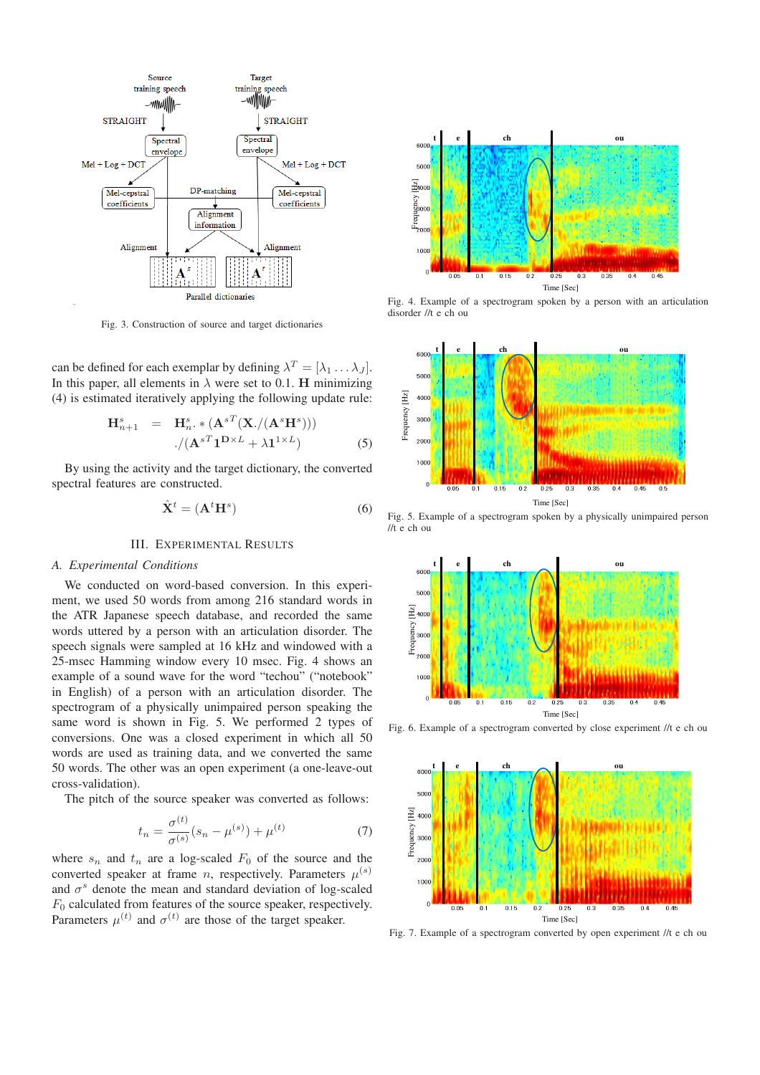

Fig. 3. Construction of source and target dictionaries

can be defined for each exemplar by defining  $\lambda^T = [\lambda_1 \dots \lambda_J]$ . In this paper, all elements in  $\lambda$  were set to 0.1. **H** minimizing (4) is estimated iteratively applying the following update rule:

$$
\mathbf{H}_{n+1}^{s} = \mathbf{H}_{n}^{s} \cdot \mathbf{A}^{sT} (\mathbf{X}./(\mathbf{A}^{s} \mathbf{H}^{s})))
$$

$$
./(\mathbf{A}^{sT} \mathbf{1}^{D \times L} + \lambda \mathbf{1}^{1 \times L})
$$
(5)

By using the activity and the target dictionary, the converted spectral features are constructed.

$$
\hat{\mathbf{X}}^t = (\mathbf{A}^t \mathbf{H}^s) \tag{6}
$$

# III. EXPERIMENTAL RESULTS

#### *A. Experimental Conditions*

We conducted on word-based conversion. In this experiment, we used 50 words from among 216 standard words in the ATR Japanese speech database, and recorded the same words uttered by a person with an articulation disorder. The speech signals were sampled at 16 kHz and windowed with a 25-msec Hamming window every 10 msec. Fig. 4 shows an example of a sound wave for the word "techou" ("notebook" in English) of a person with an articulation disorder. The spectrogram of a physically unimpaired person speaking the same word is shown in Fig. 5. We performed 2 types of conversions. One was a closed experiment in which all 50 words are used as training data, and we converted the same 50 words. The other was an open experiment (a one-leave-out cross-validation).

The pitch of the source speaker was converted as follows:

$$
t_n = \frac{\sigma^{(t)}}{\sigma^{(s)}} (s_n - \mu^{(s)}) + \mu^{(t)} \tag{7}
$$

where  $s_n$  and  $t_n$  are a log-scaled  $F_0$  of the source and the converted speaker at frame *n*, respectively. Parameters  $\mu^{(s)}$ and  $\sigma^s$  denote the mean and standard deviation of log-scaled  $F_0$  calculated from features of the source speaker, respectively. Parameters  $\mu^{(t)}$  and  $\sigma^{(t)}$  are those of the target speaker.



Fig. 4. Example of a spectrogram spoken by a person with an articulation disorder //t e ch ou



Fig. 5. Example of a spectrogram spoken by a physically unimpaired person //t e ch ou



Fig. 6. Example of a spectrogram converted by close experiment //t e ch ou



Fig. 7. Example of a spectrogram converted by open experiment //t e ch ou